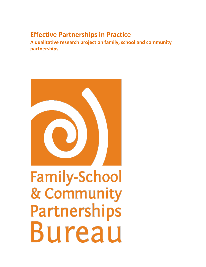# **Effective Partnerships in Practice**

**A qualitative research project on family, school and community partnerships.**



# **Family-School** & Community Partnerships Bureau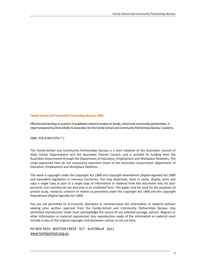**Family-School and Community Partnerships Bureau. 2009.** 

Effective partnerships in practice: A qualitative research project on family, school and community partnerships. A report prepared by Denis Muller & Associates for the Family-School and Community Partnerships Bureau: Canberra.

ISBN: 978-0-9872370-7-1

The Family-School and Community Partnerships Bureau is a joint initiative of the Australian Council of State School Organisations and the Australian Parents Council, and is assisted by funding from the Australian Government through the Department of Education, Employment and Workplace Relations. The views expressed here do not necessarily represent those of the Australian Government Department of Education, Employment and Workplace Relations.

This work is copyright under the *Copyright Act 1968* and *Copyright Amendment (Digital Agenda) Act 2000* and equivalent legislation in overseas territories. You may download, store in cache, display, print and copy a single copy or part of a single copy of information or material from this document only for your personal, non-commercial use and only in an unaltered form. This paper may be used for the purposes of private study, research, criticism or review as permitted under the *Copyright Act 1968* and the *Copyright Amendment (Digital Agenda) Act 2000.*

You are not permitted to re-transmit, distribute or commercialise the information or material without seeking prior written approval from the Family-School and Community Partnerships Bureau. Any permitted reproduction made must acknowledge the source of any selected passage, extract, diagram or other information or material reproduced. Any reproduction made of the information or material must include a copy of the original copyright and disclaimer notices as set out here.

PO BOX 3910 WESTON CREEK ACT AUSTRALIA 2611 [www.familyschool.org.au](http://www.familyschool.org.au/)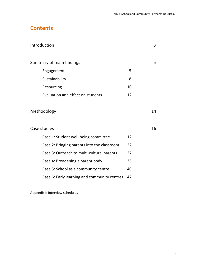# **Contents**

| Introduction                                 |    | 3  |
|----------------------------------------------|----|----|
| Summary of main findings                     |    | 5  |
| Engagement                                   | 5  |    |
| Sustainability                               | 8  |    |
| Resourcing                                   | 10 |    |
| Evaluation and effect on students            | 12 |    |
|                                              |    |    |
| Methodology                                  |    | 14 |
|                                              |    |    |
| Case studies                                 |    | 16 |
| Case 1: Student well-being committee         | 12 |    |
| Case 2: Bringing parents into the classroom  | 22 |    |
| Case 3: Outreach to multi-cultural parents   | 27 |    |
| Case 4: Broadening a parent body             | 35 |    |
| Case 5: School as a community centre         | 40 |    |
| Case 6: Early learning and community centres | 47 |    |

Appendix I: Interview schedules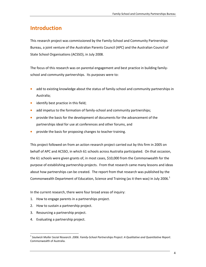# **Introduction**

This research project was commissioned by the Family-School and Community Partnerships Bureau, a joint venture of the Australian Parents Council (APC) and the Australian Council of State School Organisations (ACSSO), in July 2008.

The focus of this research was on parental engagement and best practice in building familyschool and community partnerships. Its purposes were to:

- add to existing knowledge about the status of family-school and community partnerships in Australia;
- identify best practice in this field;
- add impetus to the formation of family-school and community partnerships;
- provide the basis for the development of documents for the advancement of the partnerships ideal for use at conferences and other forums, and
- provide the basis for proposing changes to teacher training.

This project followed on from an action research project carried out by this firm in 2005 on behalf of APC and ACSSO, in which 61 schools across Australia participated. On that occasion, the 61 schools were given grants of, in most cases, \$10,000 from the Commonwealth for the purpose of establishing partnership projects. From that research came many lessons and ideas about how partnerships can be created. The report from that research was published by the Commonwealth Department of Education, Science and Training (as it then was) in July 2006.<sup>1</sup>

In the current research, there were four broad areas of inquiry:

- 1. How to engage parents in a partnerships project.
- 2. How to sustain a partnership project.
- 3. Resourcing a partnership project.
- 4. Evaluating a partnership project.

 $\overline{\phantom{a}}$ 1 *Saulwick Muller Social Research. 2006. Family-School Partnerships Project: A Qualitative and Quantitative Report*. Commonwealth of Australia.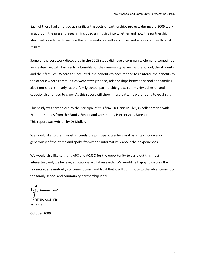Each of these had emerged as significant aspects of partnerships projects during the 2005 work. In addition, the present research included an inquiry into whether and how the partnership ideal had broadened to include the community, as well as families and schools, and with what results.

Some of the best work discovered in the 2005 study did have a community element, sometimes very extensive, with far-reaching benefits for the community as well as the school, the students and their families. Where this occurred, the benefits to each tended to reinforce the benefits to the others: where communities were strengthened, relationships between school and families also flourished; similarly, as the family-school partnership grew, community cohesion and capacity also tended to grow. As this report will show, these patterns were found to exist still.

This study was carried out by the principal of this firm, Dr Denis Muller, in collaboration with Brenton Holmes from the Family-School and Community Partnerships Bureau. This report was written by Dr Muller.

We would like to thank most sincerely the principals, teachers and parents who gave so generously of their time and spoke frankly and informatively about their experiences.

We would also like to thank APC and ACSSO for the opportunity to carry out this most interesting and, we believe, educationally vital research. We would be happy to discuss the findings at any mutually convenient time, and trust that it will contribute to the advancement of the family-school and community partnership ideal.

a mum

Dr DENIS MULLER Principal

October 2009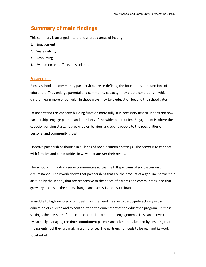# **Summary of main findings**

This summary is arranged into the four broad areas of inquiry:

- 1. Engagement
- 2. Sustainability
- 3. Resourcing
- 4. Evaluation and effects on students.

## Engagement

Family-school and community partnerships are re-defining the boundaries and functions of education. They enlarge parental and community capacity; they create conditions in which children learn more effectively. In these ways they take education beyond the school gates.

To understand this capacity-building function more fully, it is necessary first to understand how partnerships engage parents and members of the wider community. Engagement is where the capacity-building starts. It breaks down barriers and opens people to the possibilities of personal and community growth.

Effective partnerships flourish in all kinds of socio-economic settings. The secret is to connect with families and communities in ways that answer their needs.

The schools in this study serve communities across the full spectrum of socio-economic circumstance. Their work shows that partnerships that are the product of a genuine partnership attitude by the school, that are responsive to the needs of parents and communities, and that grow organically as the needs change, are successful and sustainable.

In middle to high socio-economic settings, the need may be to participate actively in the education of children and to contribute to the enrichment of the education program. In these settings, the pressure of time can be a barrier to parental engagement. This can be overcome by carefully managing the time commitment parents are asked to make, and by ensuring that the parents feel they are making a difference. The partnership needs to be real and its work substantial.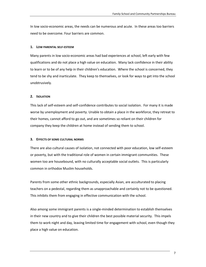In low socio-economic areas, the needs can be numerous and acute. In these areas too barriers need to be overcome. Four barriers are common.

## **1. LOW PARENTAL SELF-ESTEEM**

Many parents in low socio-economic areas had bad experiences at school, left early with few qualifications and do not place a high value on education. Many lack confidence in their ability to learn or to be of any help in their children's education. Where the school is concerned, they tend to be shy and inarticulate. They keep to themselves, or look for ways to get into the school unobtrusively.

## **2. ISOLATION**

This lack of self-esteem and self-confidence contributes to social isolation. For many it is made worse by unemployment and poverty. Unable to obtain a place in the workforce, they retreat to their homes, cannot afford to go out, and are sometimes so reliant on their children for company they keep the children at home instead of sending them to school.

#### **3. EFFECTS OF SOME CULTURAL NORMS**

There are also cultural causes of isolation, not connected with poor education, low self-esteem or poverty, but with the traditional role of women in certain immigrant communities. These women too are housebound, with no culturally acceptable social outlets. This is particularly common in orthodox Muslim households.

Parents from some other ethnic backgrounds, especially Asian, are acculturated to placing teachers on a pedestal, regarding them as unapproachable and certainly not to be questioned. This inhibits them from engaging in effective communication with the school.

Also among some immigrant parents is a single-minded determination to establish themselves in their new country and to give their children the best possible material security. This impels them to work night and day, leaving limited time for engagement with school, even though they place a high value on education.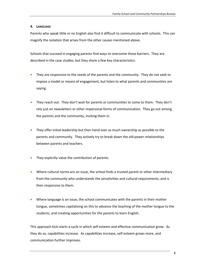## **4. LANGUAGE**

Parents who speak little or no English also find it difficult to communicate with schools. This can magnify the isolation that arises from the other causes mentioned above.

Schools that succeed in engaging parents find ways to overcome these barriers. They are described in the case studies, but they share a few key characteristics:

- They are responsive to the needs of the parents and the community. They do not seek to impose a model or means of engagement, but listen to what parents and communities are saying.
- They reach out. They don't wait for parents or communities to come to them. They don't rely just on newsletters or other impersonal forms of communication. They go out among the parents and the community, inviting them in.
- They offer initial leadership but then hand over as much ownership as possible to the parents and community. They actively try to break down the old power relationships between parents and teachers.
- They explicitly value the contribution of parents.
- Where cultural norms are an issue, the school finds a trusted parent or other intermediary from the community who understands the sensitivities and cultural requirements, and is then responsive to them.
- Where language is an issue, the school communicates with the parents in their mother tongue, sometimes capitalising on this to advance the teaching of the mother tongue to the students, and creating opportunities for the parents to learn English.

This approach kick-starts a cycle in which self-esteem and effective communication grow. As they do so, capabilities increase. As capabilities increase, self-esteem grows more, and communication further improves.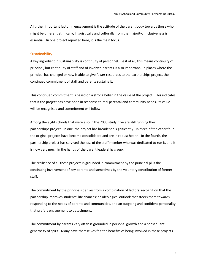A further important factor in engagement is the attitude of the parent body towards those who might be different ethnically, linguistically and culturally from the majority. Inclusiveness is essential. In one project reported here, it is the main focus.

## **Sustainability**

A key ingredient in sustainability is continuity of personnel. Best of all, this means continuity of principal, but continuity of staff and of involved parents is also important. In places where the principal has changed or now is able to give fewer resources to the partnerships project, the continued commitment of staff and parents sustains it.

This continued commitment is based on a strong belief in the value of the project. This indicates that if the project has developed in response to real parental and community needs, its value will be recognised and commitment will follow.

Among the eight schools that were also in the 2005 study, five are still running their partnerships project. In one, the project has broadened significantly. In three of the other four, the original projects have become consolidated and are in robust health. In the fourth, the partnership project has survived the loss of the staff member who was dedicated to run it, and it is now very much in the hands of the parent leadership group.

The resilience of all these projects is grounded in commitment by the principal plus the continuing involvement of key parents and sometimes by the voluntary contribution of former staff.

The commitment by the principals derives from a combination of factors: recognition that the partnership improves students' life chances; an ideological outlook that steers them towards responding to the needs of parents and communities, and an outgoing and confident personality that prefers engagement to detachment.

The commitment by parents very often is grounded in personal growth and a consequent generosity of spirit. Many have themselves felt the benefits of being involved in these projects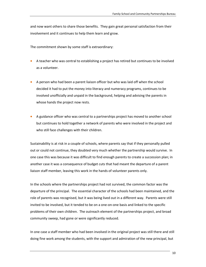and now want others to share those benefits. They gain great personal satisfaction from their involvement and it continues to help them learn and grow.

The commitment shown by some staff is extraordinary:

- A teacher who was central to establishing a project has retired but continues to be involved as a volunteer.
- A person who had been a parent liaison officer but who was laid off when the school decided it had to put the money into literacy and numeracy programs, continues to be involved unofficially and unpaid in the background, helping and advising the parents in whose hands the project now rests.
- A guidance officer who was central to a partnerships project has moved to another school but continues to hold together a network of parents who were involved in the project and who still face challenges with their children.

Sustainability is at risk in a couple of schools, where parents say that if they personally pulled out or could not continue, they doubted very much whether the partnership would survive. In one case this was because it was difficult to find enough parents to create a succession plan; in another case it was a consequence of budget cuts that had meant the departure of a parent liaison staff member, leaving this work in the hands of volunteer parents only.

In the schools where the partnerships project had not survived, the common factor was the departure of the principal. The essential character of the schools had been maintained, and the role of parents was recognised, but it was being lived out in a different way. Parents were still invited to be involved, but it tended to be on a one-on-one basis and linked to the specific problems of their own children. The outreach element of the partnerships project, and broad community sweep, had gone or were significantly reduced.

In one case a staff member who had been involved in the original project was still there and still doing fine work among the students, with the support and admiration of the new principal, but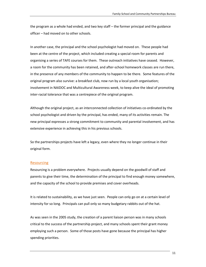the program as a whole had ended, and two key staff – the former principal and the guidance officer – had moved on to other schools.

In another case, the principal and the school psychologist had moved on. These people had been at the centre of the project, which included creating a special room for parents and organising a series of TAFE courses for them. These outreach initiatives have ceased. However, a room for the community has been retained, and after-school homework classes are run there, in the presence of any members of the community to happen to be there. Some features of the original program also survive: a breakfast club, now run by a local youth organisation; involvement in NAIDOC and Multicultural Awareness week, to keep alive the ideal of promoting inter-racial tolerance that was a centrepiece of the original program.

Although the original project, as an interconnected collection of initiatives co-ordinated by the school psychologist and driven by the principal, has ended, many of its activities remain. The new principal expresses a strong commitment to community and parental involvement, and has extensive experience in achieving this in his previous schools.

So the partnerships projects have left a legacy, even where they no longer continue in their original form.

## Resourcing

Resourcing is a problem everywhere. Projects usually depend on the goodwill of staff and parents to give their time, the determination of the principal to find enough money somewhere, and the capacity of the school to provide premises and cover overheads.

It is related to sustainability, as we have just seen. People can only go on at a certain level of intensity for so long. Principals can pull only so many budgetary rabbits out of the hat.

As was seen in the 2005 study, the creation of a parent liaison person was in many schools critical to the success of the partnership project, and many schools spent their grant money employing such a person. Some of those posts have gone because the principal has higher spending priorities.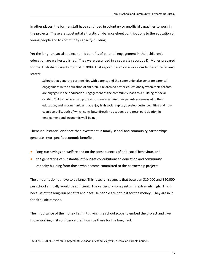In other places, the former staff have continued in voluntary or unofficial capacities to work in the projects. These are substantial altruistic off-balance-sheet contributions to the education of young people and to community capacity-building.

Yet the long-run social and economic benefits of parental engagement in their children's education are well-established. They were described in a separate report by Dr Muller prepared for the Australian Parents Council in 2009. That report, based on a world-wide literature review, stated:

Schools that generate partnerships with parents and the community also generate parental engagement in the education of children. Children do better educationally when their parents are engaged in their education. Engagement of the community leads to a building of social capital. Children who grow up in circumstances where their parents are engaged in their education, and in communities that enjoy high social capital, develop better cognitive and noncognitive skills, both of which contribute directly to academic progress, participation in employment and economic well-being.<sup>2</sup>

There is substantial evidence that investment in family-school and community partnerships generates two specific economic benefits:

- long-run savings on welfare and on the consequences of anti-social behaviour, and
- the generating of substantial off-budget contributions to education and community capacity-building from those who become committed to the partnership projects.

The amounts do not have to be large. This research suggests that between \$10,000 and \$20,000 per school annually would be sufficient. The value-for-money return is extremely high. This is because of the long-run benefits and because people are not in it for the money. They are in it for altruistic reasons.

The importance of the money lies in its giving the school scope to embed the project and give those working in it confidence that it can be there for the long haul.

 $\overline{a}$ 

<sup>2</sup> Muller, D. 2009. *Parental Engagement: Social and Economic Effects*, Australian Parents Council.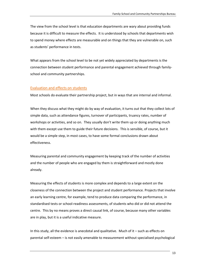The view from the school level is that education departments are wary about providing funds because it is difficult to measure the effects. It is understood by schools that departments wish to spend money where effects are measurable and on things that they are vulnerable on, such as students' performance in tests.

What appears from the school level to be not yet widely appreciated by departments is the connection between student performance and parental engagement achieved through familyschool and community partnerships.

## Evaluation and effects on students

Most schools do evaluate their partnership project, but in ways that are internal and informal.

When they discuss what they might do by way of evaluation, it turns out that they collect lots of simple data, such as attendance figures, turnover of participants, truancy rates, number of workshops or activities, and so on. They usually don't write them up or doing anything much with them except use them to guide their future decisions. This is sensible, of course, but it would be a simple step, in most cases, to have some formal conclusions drawn about effectiveness.

Measuring parental and community engagement by keeping track of the number of activities and the number of people who are engaged by them is straightforward and mostly done already.

Measuring the effects of students is more complex and depends to a large extent on the closeness of the connection between the project and student performance. Projects that involve an early learning centre, for example, tend to produce data comparing the performance, in standardised tests or school-readiness assessments, of students who did or did not attend the centre. This by no means proves a direct causal link, of course, because many other variables are in play, but it is a useful indicative measure.

In this study, all the evidence is anecdotal and qualitative. Much of it – such as effects on parental self-esteem – is not easily amenable to measurement without specialised psychological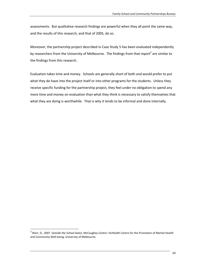assessments. But qualitative research findings are powerful when they all point the same way, and the results of this research, and that of 2005, do so.

Moreover, the partnership project described in Case Study 5 has been evaluated independently by researchers from the University of Melbourne. The findings from that report<sup>3</sup> are similar to the findings from this research.

Evaluation takes time and money. Schools are generally short of both and would prefer to put what they do have into the project itself or into other programs for the students. Unless they receive specific funding for the partnership project, they feel under no obligation to spend any more time and money on evaluation than what they think is necessary to satisfy themselves that what they are doing is worthwhile. That is why it tends to be informal and done internally.

 $\overline{\phantom{a}}$ 

<sup>3</sup> Warr, D., 2007. *Outside the School Gates*, McCaughey Centre: VicHealth Centre for the Promotion of Mental Health and Community Well-being, University of Melbourne.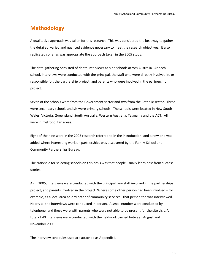# **Methodology**

A qualitative approach was taken for this research. This was considered the best way to gather the detailed, varied and nuanced evidence necessary to meet the research objectives. It also replicated so far as was appropriate the approach taken in the 2005 study.

The data-gathering consisted of depth interviews at nine schools across Australia. At each school, interviews were conducted with the principal, the staff who were directly involved in, or responsible for, the partnership project, and parents who were involved in the partnership project.

Seven of the schools were from the Government sector and two from the Catholic sector. Three were secondary schools and six were primary schools. The schools were located in New South Wales, Victoria, Queensland, South Australia, Western Australia, Tasmania and the ACT. All were in metropolitan areas.

Eight of the nine were in the 2005 research referred to in the introduction, and a new one was added where interesting work on partnerships was discovered by the Family-School and Community Partnerships Bureau.

The rationale for selecting schools on this basis was that people usually learn best from success stories.

As in 2005, interviews were conducted with the principal, any staff involved in the partnerships project, and parents involved in the project. Where some other person had been involved – for example, as a local area co-ordinator of community services –that person too was interviewed. Nearly all the interviews were conducted in person. A small number were conducted by telephone, and these were with parents who were not able to be present for the site visit. A total of 40 interviews were conducted, with the fieldwork carried between August and November 2008.

The interview schedules used are attached as Appendix I.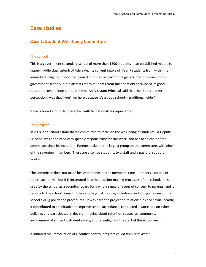## **Case studies**

## **Case 1: Student Well-being Committee**

## The school

This is a government secondary school of more than 1200 students in an established middle to upper-middle class suburb of Adelaide. Its current intake of Year 7 students from within its immediate neighbourhood has been diminished as part of the general trend towards nongovernment schools, but it attracts many students from further afield because of its good reputation over a long period of time. An Assistant Principal said that the "supermarket perception" was that "you'll go here because it's a good school -- traditional, older".

It has a broad ethnic demographic, with 62 nationalities represented.

## The project

In 2004, the school established a committee to focus on the well-being of students. A Deputy Principal was appointed with specific responsibility for this work, and has been chair of the committee since its inception. Parents make up the largest group on the committee, with nine of the seventeen members. There are also five students, two staff and a pastoral support worker.

The committee does not make heavy demands on the members' time – it meets a couple of times each term – but it is integrated into the decision-making processes of the school. It is used by the school as a sounding board for a whole range of issues of concern to parents, and it reports to the school council. It has a policy-making role, including conducting a review of the school's drug policy and procedures. It was part of a project on relationships and sexual health; it contributed to an initiative to improve school attendance, conducted a workshop on cyberbullying, and participated in decision-making about retention strategies, community involvement of students, student safety, and reconfiguring the start of the school year.

It initiated the introduction of a conflict-control program called *Rock and Water*.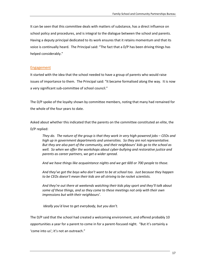It can be seen that this committee deals with matters of substance, has a direct influence on school policy and procedures, and is integral to the dialogue between the school and parents. Having a deputy principal dedicated to its work ensures that it retains momentum and that its voice is continually heard. The Principal said: "The fact that a D/P has been driving things has helped considerably."

## Engagement

It started with the idea that the school needed to have a group of parents who would raise issues of importance to them. The Principal said: "It became formalised along the way. It is now a very significant sub-committee of school council."

The D/P spoke of the loyalty shown by committee members, noting that many had remained for the whole of the four years to date.

Asked about whether this indicated that the parents on the committee constituted an elite, the D/P replied:

*They do. The nature of the group is that they work in very high-powered jobs – CEOs and high up in government departments and universities. So they are not representative. But they are also part of the community, and their neighbours' kids go to the school as well. So when we offer the workshops about cyber-bullying and restorative justice and parents as career partners, we get a wider spread.*

*And we have things like acquaintance nights and we get 600 or 700 people to those.*

*And they've got the boys who don't want to be at school too. Just because they happen to be CEOs doesn't mean their kids are all striving to be rocket scientists.*

*And they're out there at weekends watching their kids play sport and they'll talk about some of these things, and so they come to these meetings not only with their own impressions but with their neighbours'.*

*Ideally you'd love to get everybody, but you don't.*

The D/P said that the school had created a welcoming environment, and offered probably 10 opportunities a year for a parent to come in for a parent-focused night. "But it's certainly a 'come into us'; it's not an outreach."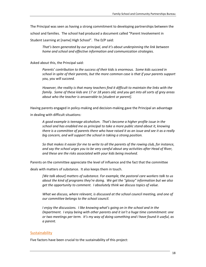The Principal was seen as having a strong commitment to developing partnerships between the

school and families. The school had produced a document called "Parent Involvement in

Student Learning at [name] High School". The D/P said:

*That's been generated by our principal, and it's about underpinning the link between home and school and effective information and communication strategies.*

Asked about this, the Principal said:

*Parents' contribution to the success of their kids is enormous. Some kids succeed in school in spite of their parents, but the more common case is that if your parents support you, you will succeed.*

*However, the reality is that many teachers find it difficult to maintain the links with the family. Some of these kids are 17 or 18 years old, and you get into all sorts of grey areas about who the teacher is answerable to [student or parent].*

Having parents engaged in policy-making and decision-making gave the Principal an advantage

in dealing with difficult situations:

*A good example is teenage alcoholism. That's become a higher profile issue in the school and has enabled me as principal to take a more public stand about it, knowing there is a committee of parents there who have raised it as an issue and see it as a really big concern, and will support the school in taking a strong position.*

*So that makes it easier for me to write to all the parents of the rowing club, for instance, and say the school urges you to be very careful about any activities after Head of River, and these are the risks associated with your kids being involved.* 

Parents on the committee appreciate the level of influence and the fact that the committee

deals with matters of substance. It also keeps them in touch.

*[We talk about] matters of substance. For example, the pastoral care workers talk to us about the kind of programs they're doing. We get the "glossy" information but we also get the opportunity to comment. I absolutely think we discuss topics of value.*

*What we discuss, where relevant, is discussed at the school council meeting, and one of our committee belongs to the school council.*

*I enjoy the discussions. I like knowing what's going on in the school and in the Department. I enjoy being with other parents and it isn't a huge time commitment: one or two meetings per term. It's my way of doing something and I have found it useful, as a parent.*

## **Sustainability**

Five factors have been crucial to the sustainability of this project: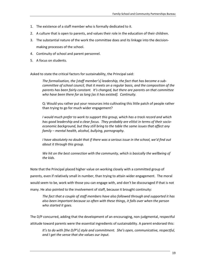- 1. The existence of a staff member who is formally dedicated to it.
- 2. A culture that is open to parents, and values their role in the education of their children.
- 3. The substantial nature of the work the committee does and its linkage into the decisionmaking processes of the school.
- 4. Continuity of school and parent personnel.
- 5. A focus on students.

Asked to state the critical factors for sustainability, the Principal said:

*The formalisation, the [staff member's] leadership, the fact that has become a subcommittee of school council, that it meets on a regular basis, and the composition of the parents has been fairly constant. It's changed, but there are parents on that committee who have been there for as long [as it has existed]. Continuity.*

Q: Would you rather put your resources into cultivating this little patch of people rather than trying to go for much wider engagement?

*I would much prefer to work to support this group, which has a track record and which has good leadership and a clear focus. They probably are elitist in terms of their socioeconomic background, but they still bring to the table the same issues that affect any family – mental health, alcohol, bullying, pornography.*

*I have absolutely no doubt that if there was a serious issue in the school, we'd find out about it through this group.*

*We hit on the best connection with the community, which is basically the wellbeing of the kids.*

Note that the Principal placed higher value on working closely with a committed group of parents, even if relatively small in number, than trying to attain wider engagement. The moral would seem to be, work with those you can engage with, and don't be discouraged if that is not many. He also pointed to the involvement of staff, because it brought continuity:

*The fact that a couple of staff members have also followed through and supported it has also been important because so often with these things, it falls over when the person who started it goes.*

The D/P concurred, adding that the development of an encouraging, non-judgmental, respectful attitude toward parents were the essential ingredients of sustainability. A parent endorsed this:

*It's to do with [the D/P's] style and commitment. She's open, communicative, respectful, and I get the sense that she values our input.*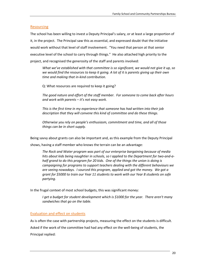## Resourcing

The school has been willing to invest a Deputy Principal's salary, or at least a large proportion of it, in the project. The Principal saw this as essential, and expressed doubt that the initiative would work without that level of staff involvement. "You need that person at that senior executive level of the school to carry through things." He also attached high priority to the project, and recognised the generosity of the staff and parents involved:

*What we've established with that committee is so significant, we would not give it up, so we would find the resources to keep it going. A lot of it is parents giving up their own time and making that in-kind contribution.*

Q: What resources are required to keep it going?

*The good nature and effort of the staff member. For someone to come back after hours and work with parents – it's not easy work.*

*This is the first time in my experience that someone has had written into their job description that they will convene this kind of committee and do these things.*

*Otherwise you rely on people's enthusiasm, commitment and time, and all of those things can be in short supply.*

Being savvy about grants can also be important and, as this example from the Deputy Principal

shows, having a staff member who knows the terrain can be an advantage:

*The Rock and Water program was part of our enterprise bargaining because of media hits about kids being naughtier in schools, so I applied to the Department for two-and-ahalf grand to do this program for 20 kids. One of the things the union is doing is campaigning for programs to support teachers dealing with the different behaviours we are seeing nowadays. I sourced this program, applied and got the money. We got a grant for \$5000 to train our Year 11 students to work with our Year 8 students on safe partying.*

In the frugal context of most school budgets, this was significant money:

*I get a budget for student development which is \$1000 for the year. There aren't many sandwiches that go on the table.*

## Evaluation and effect on students

As is often the case with partnership projects, measuring the effect on the students is difficult.

Asked if the work of the committee had had any effect on the well-being of students, the

Principal replied: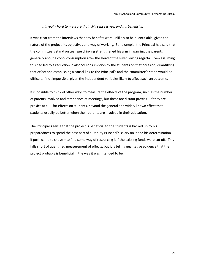## *It's really hard to measure that. My sense is yes, and it's beneficial.*

It was clear from the interviews that any benefits were unlikely to be quantifiable, given the nature of the project, its objectives and way of working. For example, the Principal had said that the committee's stand on teenage drinking strengthened his arm in warning the parents generally about alcohol consumption after the Head of the River rowing regatta. Even assuming this had led to a reduction in alcohol consumption by the students on that occasion, quantifying that effect and establishing a causal link to the Principal's and the committee's stand would be difficult, if not impossible, given the independent variables likely to affect such an outcome.

It is possible to think of other ways to measure the effects of the program, such as the number of parents involved and attendance at meetings, but these are distant proxies – if they are proxies at all – for effects on students, beyond the general and widely known effect that students usually do better when their parents are involved in their education.

The Principal's sense that the project is beneficial to the students is backed up by his preparedness to spend the best part of a Deputy Principal's salary on it and his determination – if push came to shove – to find some way of resourcing it if the existing funds were cut off. This falls short of quantified measurement of effects, but it is telling qualitative evidence that the project probably is beneficial in the way it was intended to be.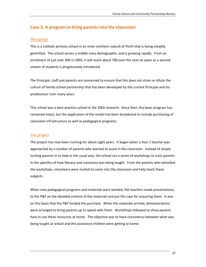## **Case 2: A program to bring parents into the classroom**

## The school

This is a Catholic primary school in an inner northern suburb of Perth that is being steadily gentrified. The school serves a middle-class demographic, and is growing rapidly. From an enrolment of just over 400 in 2005, it will reach about 700 over the next six years as a second stream of students is progressively introduced.

The Principal, staff and parents are concerned to ensure that this does not strain or dilute the culture of family-school partnership that has been developed by the current Principal and his predecessor over many years.

This school was a best-practice school in the 2005 research. Since then, the basic program has remained intact, but the application of the model has been broadened to include purchasing of classroom infrastructure as well as pedagogical programs.

## The project

The project has now been running for about eight years. It began when a Year 1 teacher was approached by a number of parents who wanted to assist in the classroom. Instead of simply inviting parents in to help in the usual way, the school ran a series of workshops to train parents in the specifics of how literacy and numeracy was being taught. From the parents who attended the workshops, volunteers were invited to come into the classroom and help teach these subjects.

When new pedagogical programs and materials were needed, the teachers made presentations to the P&F on the detailed content of the materials and put the case for acquiring them. It was on this basis that the P&F funded the purchase. When the materials arrived, demonstrations were arranged to bring parents up to speed with them. Workshops followed to show parents how to use these resources at home. The objective was to have consistency between what was being taught at school and the assistance children were getting at home.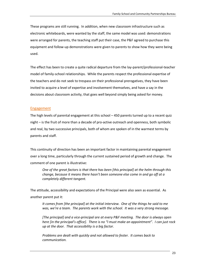These programs are still running. In addition, when new classroom infrastructure such as electronic whiteboards, were wanted by the staff, the same model was used: demonstrations were arranged for parents, the teaching staff put their case, the P&F agreed to purchase this equipment and follow-up demonstrations were given to parents to show how they were being used.

The effect has been to create a quite radical departure from the lay-parent/professional-teacher model of family-school relationships. While the parents respect the professional expertise of the teachers and do not seek to trespass on their professional prerogatives, they have been invited to acquire a level of expertise and involvement themselves, and have a say in the decisions about classroom activity, that goes well beyond simply being asked for money.

## Engagement

The high levels of parental engagement at this school – 450 parents turned up to a recent quiz night – is the fruit of more than a decade of pro-active outreach and openness, both symbolic and real, by two successive principals, both of whom are spoken of in the warmest terms by parents and staff.

This continuity of direction has been an important factor in maintaining parental engagement over a long time, particularly through the current sustained period of growth and change. The comment of one parent is illustrative:

*One of the great factors is that there has been [this principal] at the helm through this change, because it means there hasn't been someone else come in and go off at a completely different tangent.*

The attitude, accessibility and expectations of the Principal were also seen as essential. As another parent put it:

*It comes from [the principal] at the initial interview. One of the things he said to me was, we're a team. The parents work with the school. It was a very strong message.*

*[The principal] and a vice-principal are at every P&F meeting. The door is always open here [in the principal's office]. There is no "I must make an appointment". I can just rock up at the door. That accessibility is a big factor.*

*Problems are dealt with quickly and not allowed to fester. It comes back to communication.*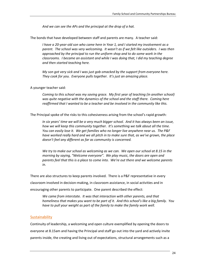*And we can see the APs and the principal at the drop of a hat.*

The bonds that have developed between staff and parents are many. A teacher said:

*I have a 20-year-old son who came here in Year 1, and I started my involvement as a parent. The school was very welcoming. It wasn't as if we felt like outsiders. I was then approached by the principal to run the uniform shop and to do some work in the classrooms. I became an assistant and while I was doing that, I did my teaching degree and then started teaching here.*

*My son got very sick and I was just gob-smacked by the support from everyone here. They cook for you. Everyone pulls together. It's just an amazing place.*

## A younger teacher said:

*Coming to this school was my saving grace. My first year of teaching (in another school) was quite negative with the dynamics of the school and the staff there. Coming here reaffirmed that I wanted to be a teacher and be involved in the community like this.*

The Principal spoke of the risks to this cohesiveness arising from the school's rapid growth:

*In six years' time we will be a very much bigger school. And it has always been an issue, how we will keep this community together. It's something we talk about all the time. You can easily lose it. We get families who no longer live anywhere near us. The P&F have worked really hard and we all pitch in to make sure that, as we've grown, the place doesn't feel any different as far as community is concerned.*

*We try to make our school as welcoming as we can. We open our school at 8.15 in the morning by saying, "Welcome everyone". We play music, the doors are open and parents feel that this is a place to come into. We're out there and we welcome parents in.*

There are also structures to keep parents involved. There is a P&F representative in every classroom involved in decision-making, in classroom assistance, in social activities and in encouraging other parents to participate. One parent described the effect:

*We came from interstate. It was that interaction with other parents, and that homeliness that makes you want to be part of it. And this school's like a big family. You have to pull your weight as part of the family to make the family work well.*

## Sustainability

Continuity of leadership, a welcoming and open culture exemplified by opening the doors to everyone at 8.15am and having the Principal and staff go out into the yard and actively invite parents inside, the creating and living out of expectations, structural arrangements such as a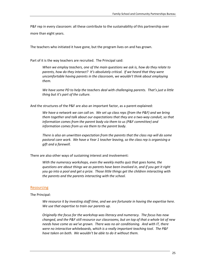P&F rep in every classroom: all these contribute to the sustainability of this partnership over more than eight years.

The teachers who initiated it have gone, but the program lives on and has grown.

Part of it is the way teachers are recruited. The Principal said:

*When we employ teachers, one of the main questions we ask is, how do they relate to parents, how do they interact? It's absolutely critical. If we heard that they were uncomfortable having parents in the classroom, we wouldn't think about employing them.*

*We have some PD to help the teachers deal with challenging parents. That's just a little thing but it's part of the culture.*

And the structures of the P&F are also an important factor, as a parent explained:

*We have a network we can call on. We set up class reps (from the P&F) and we bring them together and talk about our expectations that they are a two-way conduit, so that information comes from the parent body via them to us (P&F committee) and information comes from us via them to the parent body.* 

*There is also an unwritten expectation from the parents that the class rep will do some pastoral care work. We have a Year 1 teacher leaving, so the class rep is organising a gift and a farewell.*

There are also other ways of sustaining interest and involvement:

*With the numeracy workshops, even the weekly maths quiz that goes home, the questions are about things we as parents have been involved in, and if you get it right you go into a pool and get a prize. Those little things get the children interacting with the parents and the parents interacting with the school.*

## Resourcing

The Principal:

*We resource it by investing staff time, and we are fortunate in having the expertise here. We use that expertise to train our parents up.* 

*Originally the focus for the workshop was literacy and numeracy. The focus has now changed, and the P&F still resource our classrooms, but on top of that a whole lot of new needs have come as we've grown. There was no air conditioning. And with IT, there were no interactive whiteboards, which is a really important teaching tool. The P&F have taken on both. We wouldn't be able to do it without them.*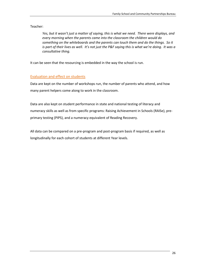Teacher:

*Yes, but it wasn't just a matter of saying, this is what we need. There were displays, and every morning when the parents came into the classroom the children would do something on the whiteboards and the parents can touch them and do the things. So it is part of their lives as well. It's not just the P&F saying this is what we're doing. It was a consultative thing.*

It can be seen that the resourcing is embedded in the way the school is run.

## Evaluation and effect on students

Data are kept on the number of workshops run, the number of parents who attend, and how many parent helpers come along to work in the classroom.

Data are also kept on student performance in state and national testing of literacy and numeracy skills as well as from specific programs: Raising Achievement in Schools (RAISe), preprimary testing (PIPS), and a numeracy equivalent of Reading Recovery.

All data can be compared on a pre-program and post-program basis if required, as well as longitudinally for each cohort of students at different Year levels.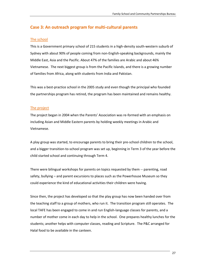## **Case 3: An outreach program for multi-cultural parents**

## The school

This is a Government primary school of 215 students in a high-density south-western suburb of Sydney with about 90% of people coming from non-English-speaking backgrounds, mainly the Middle East, Asia and the Pacific. About 47% of the families are Arabic and about 46% Vietnamese. The next biggest group is from the Pacific Islands, and there is a growing number of families from Africa, along with students from India and Pakistan.

This was a best-practice school in the 2005 study and even though the principal who founded the partnerships program has retired, the program has been maintained and remains healthy.

## The project

The project began in 2004 when the Parents' Association was re-formed with an emphasis on including Asian and Middle Eastern parents by holding weekly meetings in Arabic and Vietnamese.

A play group was started, to encourage parents to bring their pre-school children to the school, and a bigger transition-to-school program was set up, beginning in Term 3 of the year before the child started school and continuing through Term 4.

There were bilingual workshops for parents on topics requested by them -- parenting, road safety, bullying – and parent excursions to places such as the Powerhouse Museum so they could experience the kind of educational activities their children were having.

Since then, the project has developed so that the play group has now been handed over from the teaching staff to a group of mothers, who run it. The transition program still operates. The local TAFE has been engaged to come in and run English-language classes for parents, and a number of mother come in each day to help in the school. One prepares healthy lunches for the students; another helps with computer classes, reading and Scripture. The P&C arranged for Halal food to be available in the canteen.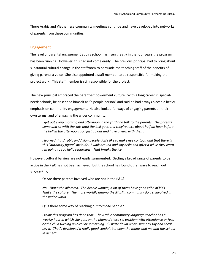There Arabic and Vietnamese community meetings continue and have developed into networks of parents from these communities.

## Engagement

The level of parental engagement at this school has risen greatly in the four years the program has been running. However, this had not come easily. The previous principal had to bring about substantial cultural change in the staffroom to persuade the teaching staff of the benefits of giving parents a voice. She also appointed a staff member to be responsible for making the project work. This staff member is still responsible for the project.

The new principal embraced the parent-empowerment culture. With a long career in specialneeds schools, he described himself as "a people person" and said he had always placed a heavy emphasis on community engagement. He also looked for ways of engaging parents on their own terms, and of engaging the wider community.

*I get out every morning and afternoon in the yard and talk to the parents. The parents come and sit with the kids until the bell goes and they're here about half an hour before the bell in the afternoon, so I just go out and have a yarn with them.*

*I learned that Arabic and Asian people don't like to make eye contact, and that there is this "authority figure" attitude. I walk around and say hello and after a while they learn I'm going to say hello regardless. That breaks the ice.*

However, cultural barriers are not easily surmounted. Getting a broad range of parents to be active in the P&C has not been achieved, but the school has found other ways to reach out successfully.

Q: Are there parents involved who are not in the P&C?

*No. That's the dilemma. The Arabic women, a lot of them have got a tribe of kids. That's the culture. The more worldly among the Muslim community do get involved in the wider world.*

Q: Is there some way of reaching out to those people?

*I think this program has done that. The Arabic community language teacher has a weekly hour in which she gets on the phone if there's a problem with attendance or fees or the child turning up dirty or something. I'll write down what I want to say and she'll say it. That's developed a really good conduit between the mums and me and the school in general.*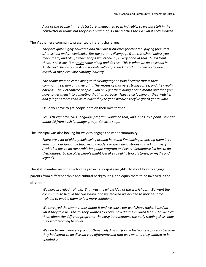*A lot of the people in this district are uneducated even in Arabic, so we put stuff in the newsletter in Arabic but they can't read that, so she teaches the kids what she's written.*

The Vietnamese community presented different challenges:

*They are quite highly educated and they are hothouses for children: paying for tutors after school and at weekends. But the parents disengage from the school unless you make them, and Mrs [a teacher of Asian ethnicity] is very good at that. She'll front them. She'll say, "You must come along and do this. This is what we do at school in Australia." Because the Asian parents will drop their kids off and then go to work, mostly in the piecework clothing industry.*

*The Arabic women come along to their language session because that is their community session and they bring Thermoses of that very strong coffee, and they really enjoy it. The Vietnamese people – you only get them along once a month and then you have to get them into a meeting that has purpose. They're all looking at their watches and if it goes more than 45 minutes they're gone because they've got to get to work.*

Q: So you have to get people here on their own terms?

*Yes. I thought the TAFE language program would do that, and it has, to a point. We get about 10 from each language group. So, little steps.*

The Principal was also looking for ways to engage the wider community:

*There are a lot of older people living around here and I'm looking at getting them in to work with our language teachers as readers or just telling stories to the kids. Every Arabic kid has to do the Arabic language program and every Vietnamese kid has to do Vietnamese. So the older people might just like to tell historical stories, or myths and legends.*

The staff member responsible for the project also spoke insightfully about how to engage

parents from different ethnic and cultural backgrounds, and equip them to be involved in the classroom:

*We have provided training. That was the whole idea of the workshops. We want the community to help in the classroom, and we realised we needed to provide some training to enable them to feel more confident.*

*We surveyed the communities about it and we chose our workshops topics based on what they told us. Mostly they wanted to know, how did the children learn? So we told them about the different programs, the early interventions, the early reading skills, how they start learning to count.*

*We had to run a workshop on [arithmetical] division for the Vietnamese parents because they had learnt to do division very differently and that was an area they wanted to be updated on.*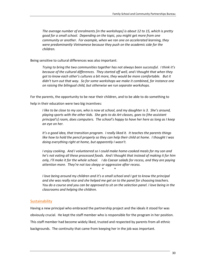*The average number of enrolments [in the workshops] is about 12 to 15, which is pretty good for a small school. Depending on the topic, you might get more from one community or another. For example, when we ran one on accelerated learning, they were predominantly Vietnamese because they push on the academic side for the children.*

Being sensitive to cultural differences was also important:

*Trying to bring the two communities together has not always been successful. I think it's because of the cultural differences. They started off well, and I thought that when they got to know each other's cultures a bit more, they would be more comfortable. But it didn't turn out that way. So for some workshops we make it combined, for instance one on raising the bilingual child, but otherwise we run separate workshops.*

For the parents, the opportunity to be near their children, and to be able to do something to

help in their education were two big incentives:

*I like to be close to my son, who is now at school, and my daughter is 3. She's around, playing sports with the other kids. She gets to do Art classes, goes to [the assistant principal's] room, does computers. The school's happy to have her here as long as I keep an eye on her.*

*It's a good idea, that transition program. I really liked it. It teaches the parents things like how to hold the pencil properly so they can help their child at home. I thought I was doing everything right at home, but apparently I wasn't.* 

*I enjoy cooking. And I volunteered so I could make home-cooked meals for my son and he's not eating all these processed foods. And I thought that instead of making it for him only, I'll make it for the whole school. I do Caesar salads for recess, and they are paying attention more. They're not too sleepy or aggressive after recess.*

\* \* \*

*I love being around my children and it's a small school and I got to know the principal and she was really nice and she helped me get on to the panel for choosing teachers. You do a course and you can be approved to sit on the selection panel. I love being in the classrooms and helping the children.* 

## **Sustainability**

Having a new principal who embraced the partnership project and the ideals it stood for was obviously crucial. He kept the staff member who is responsible for the program in her position. This staff member had become widely liked, trusted and respected by parents from all ethnic backgrounds. The continuity that came from keeping her in the job was important.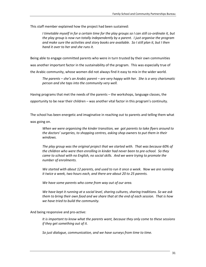This staff member explained how the project had been sustained:

*I timetable myself in for a certain time for the play groups so I can still co-ordinate it, but the play group is now run totally independently by a parent. I just organise the program and make sure the activities and story books are available. So I still plan it, but I then hand it over to her and she runs it.*

Being able to engage committed parents who were in turn trusted by their own communities was another important factor in the sustainability of the program. This was especially true of the Arabic community, whose women did not always find it easy to mix in the wider world.

*The parents – she's an Arabic parent – are very happy with her. She is a very charismatic person and she taps into the community very well.* 

Having programs that met the needs of the parents – the workshops, language classes, the opportunity to be near their children – was another vital factor in this program's continuity.

The school has been energetic and imaginative in reaching out to parents and telling them what was going on.

*When we were organising the kinder transition, we got parents to take flyers around to the doctors' surgeries, to shopping centres, asking shop owners to put them in their windows.*

*The play group was the original project that we started with. That was because 60% of the children who were then enrolling in kinder had never been to pre-school. So they came to school with no English, no social skills. And we were trying to promote the number of enrolments.* 

*We started with about 12 parents, and used to run it once a week. Now we are running it twice a week, two hours each, and there are about 20 to 25 parents.*

*We have some parents who come from way out of our area.*

*We have kept it running at a social level, sharing cultures, sharing traditions. So we ask them to bring their own food and we share that at the end of each session. That is how we have tried to build the community.*

And being responsive and pro-active:

*It is important to know what the parents want, because they only come to these sessions if they get something out of it.*

*So just dialogue, communication, and we have surveys from time to time.*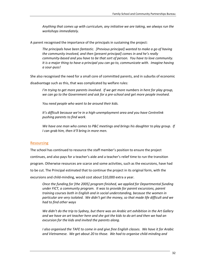*Anything that comes up with curriculum, any initiative we are taking, we always run the workshops immediately.*

A parent recognised the importance of the principals in sustaining the project:

*The principals have been fantastic. [Previous principal] wanted to make a go of having the community involved, and then [present principal] comes in and he's really community-based and you have to be that sort of person. You have to love community. It is a major thing to have a principal you can go to, communicate with. Imagine having a sour-puss!*

She also recognised the need for a small core of committed parents, and in suburbs of economic

disadvantage such as this, that was complicated by welfare rules:

*I'm trying to get more parents involved. If we get more numbers in here for play group, we can go to the Government and ask for a pre-school and get more people involved.*

*You need people who want to be around their kids.* 

*It's difficult because we're in a high-unemployment area and you have Centrelink pushing parents to find work.*

*We have one man who comes to P&C meetings and brings his daughter to play group. If I can grab him, then it'll bring in more men.*

## **Resourcing**

The school has continued to resource the staff member's position to ensure the project continues, and also pays for a teacher's aide and a teacher's relief time to run the transition program. Otherwise resources are scarce and some activities, such as the excursions, have had to be cut. The Principal estimated that to continue the project in its original form, with the excursions and child-minding, would cost about \$10,000 extra a year.

*Once the funding for [the 2005] program finished, we applied for Departmental funding under FICT, a community program. It was to provide for parent excursions, parent training courses both in English and in social understanding, because the women in particular are very isolated. We didn't get the money, so that made life difficult and we had to find other ways*

*We didn't do the trip to Sydney, but there was an Arabic art exhibition in the Art Gallery and we have an art teacher here and she got the kids to do art and then we had an excursion for the kids and invited the parents along.* 

*I also organised the TAFE to come in and give free English classes. We have it for Arabic and Vietnamese. We get about 20 to those. We had to organise child-minding and*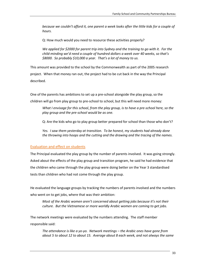*because we couldn't afford it, one parent a week looks after the little kids for a couple of hours.*

Q: How much would you need to resource these activities properly?

*We applied for \$2000 for parent trip into Sydney and the training to go with it. For the child-minding we'd need a couple of hundred dollars a week over 40 weeks, so that's \$8000. So probably \$10,000 a year. That's a lot of money to us.*

This amount was provided to the school by the Commonwealth as part of the 2005 research project. When that money ran out, the project had to be cut back in the way the Principal described.

One of the parents has ambitions to set up a pre-school alongside the play group, so the children will go from play group to pre-school to school, but this will need more money:

*What I envisage for this school, from the play group, is to have a pre-school here, so the play group and the pre-school would be as one.* 

Q: Are the kids who go to play group better prepared for school than those who don't?

*Yes. I saw them yesterday at transition. To be honest, my students had already done the throwing into hoops and the cutting and the drawing and the tracing of the names.* 

## Evaluation and effect on students

The Principal evaluated the play group by the number of parents involved. It was going strongly. Asked about the effects of the play group and transition program, he said he had evidence that the children who came through the play group were doing better on the Year 3 standardised tests than children who had not come through the play group.

He evaluated the language groups by tracking the numbers of parents involved and the numbers who went on to get jobs, where that was their ambition:

*Most of the Arabic women aren't concerned about getting jobs because it's not their culture. But the Vietnamese or more worldly Arabic women are coming to get jobs.*

The network meetings were evaluated by the numbers attending. The staff member responsible said:

*The attendance is like a yo-yo. Network meetings – the Arabic ones have gone from about 5 to about 12 to about 15. Average about 8 each week, and not always the same*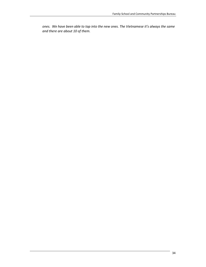*ones. We have been able to tap into the new ones. The Vietnamese it's always the same and there are about 10 of them.*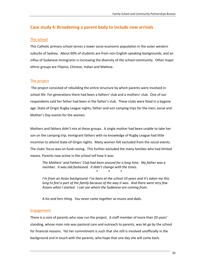## **Case study 4: Broadening a parent body to include new arrivals**

## The school

This Catholic primary school serves a lower socio-economic population in the outer western suburbs of Sydney. About 60% of students are from non-English-speaking backgrounds, and an influx of Sudanese immigrants is increasing the diversity of the school community. Other major ethnic groups are Filipino, Chinese, Indian and Maltese.

## The project

The project consisted of rebuilding the entire structure by which parents were involved in school life. For generations there had been a fathers' club and a mothers' club. One of our respondents said her father had been in the father's club. These clubs were fixed in a bygone age: State of Origin Rugby League nights, father-and-son camping trips for the men; social and Mother's Day events for the women.

Mothers and fathers didn't mix at these groups. A single mother had been unable to take her son on the camping trip; immigrant fathers with no knowledge of Rugby League had little incentive to attend State-of-Origin nights. Many women felt excluded from the social events. The clubs' focus was on fund-raising. This further excluded the many families who had limited means. Parents now active in the school tell how it was:

*The Mothers' and Fathers' Club had been around for a long time. My father was a member. It was old-fashioned. It didn't change with the times.*

*I'm from an Asian background. I've been at the school 10 years and it's taken me this long to feel a part of the family because of the way it was. And there were very few Asians when I started. I can see where the Sudanese are coming from.*

*\* \* \**

*A his and hers thing. You never came together as mums and dads.*

## Engagement

There is a core of parents who now run the project. A staff member of more than 20 years' standing, whose main role was pastoral care and outreach to parents, was let go by the school for financial reasons. Yet her commitment is such that she still is involved unofficially in the background and in touch with the parents, who hope that one day she will come back.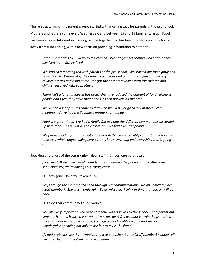The re-structuring of the parent groups started with morning teas for parents at the pre-school. Mothers and fathers come every Wednesday, and between 15 and 25 families turn up. Food has been a powerful agent in drawing people together. So has been the shifting of the focus away from fund-raising, with a new focus on providing information to parents:

*It took 12 months to build up to the change. We had fathers coming who hadn't been involved in the fathers' club.*

*We started a morning tea with parents at the pre-school. We started out fortnightly and now it's every Wednesday. We provide activities and craft and singing and nursery rhymes, stories and a play time. It's got the parents involved with the children and children involved with each other.*

*There isn't a lot of money in this area. We have reduced the amount of fund-raising so people don't feel they have their hands in their pockets all the time.* 

*We've had a lot of mums come to that who would never go to any mothers' club meeting. We've had the Sudanese mothers turning up.*

Food is a great thing. We had a family fun day and the different communities all turned *up with food. There was a whole table-full. We had over 700 people.*

*We put as much information out in the newsletter as we possibly could. Sometimes we take up a whole page making sure parents know anything and everything that's going on.*

Speaking of the loss of the community liaison staff member, one parent said:

*[Former staff member] would wander around among the parents in the afternoon and she would say, we're having this, come, come.*

Q: She's gone. Have you taken it up?

*Yes, through the morning teas and through our communications. No one could replace [staff member]. She was wonderful. We do miss her. I think in time that person will be back.*

Q: To do that community liaison work?

*Yes. It's very important. You need someone who is linked to the school, not a parent but very much in touch with the parents. You can speak freely about certain things. When my eldest son started, I was going through a very horrible divorce and she was wonderful in speaking not only to me but to my ex-husband.*

*If I had problems like that, I wouldn't talk to a teacher, but to [staff member] I would talk because she is not involved with the children.*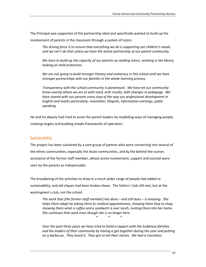The Principal was supportive of the partnership ideal and specifically wanted to build up the

involvement of parents in the classroom through a system of tutors.

*The driving force is to ensure that everything we do is supporting our children's needs, and we can't do that unless we have the active partnership of our parent community.*

*We have to build up the capacity of our parents as reading tutors, working in the library, looking at child protection.* 

*We are not going to build stronger literacy and numeracy in this school until we have stronger partnerships with our families in the whole learning process.*

*Transparency with the school community is paramount. We have let our community know exactly where we are at with need, with results, with changes in pedagogy. We have shared with our parents every step of the way our professional development in English and maths particularly: newsletter, blogsite, information evenings, public speaking.*

He and his deputy had tried to assist the parent leaders by modelling ways of managing people, creating targets and building simple frameworks of operation.

## **Sustainability**

The project has been sustained by a core group of parents who were connecting into several of the ethnic communities, especially the Asian communities, and by the behind-the-scenes assistance of the former staff member, whose active involvement, support and counsel were seen by the parents as indispensable.

The broadening of the activities to draw in a much wider range of people had added to sustainability, and old cliques had been broken down. The fathers' club still met, but at the workingmen's club, not the school.

*The work that [the former staff member] has done – and still does – is amazing. She helps them adapt by taking them to medical appointments, showing them how to shop, showing them what a coffee and a sandwich is over lunch, inviting them into her home. She continues that work even though she is no longer here.*

*\* \* \**

*Over the past three years we have tried to build a rapport with the Sudanese families and the leaders of their community by having a get-together during the year and putting on a barbecue. They loved it. They got to tell their stories. We had a translator.*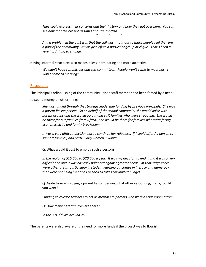*They could express their concerns and their history and how they got over here. You can see now that they're not as timid and stand-offish.*

*\* \* \**

*And a problem in the past was that the call wasn't put out to make people feel they are a part of the community. It was just left to a particular group or clique. That's been a very hard thing to change.*

Having informal structures also makes it less intimidating and more attractive.

*We didn't have committees and sub-committees. People won't come to meetings. I won't come to meetings.*

## **Resourcing**

The Principal's relinquishing of the community liaison staff member had been forced by a need

to spend money on other things.

*She was funded through the strategic leadership funding by previous principals. She was a parent liaison person. So on behalf of the school community she would liaise with parent groups and she would go out and visit families who were struggling. She would be there for our families from Africa. She would be there for families who were facing economic strife and family breakdown.*

*It was a very difficult decision not to continue her role here. If I could afford a person to support families, and particularly women, I would.* 

Q: What would it cost to employ such a person?

*In the region of \$15,000 to \$20,000 a year. It was my decision to end it and it was a very difficult one and it was basically balanced against greater needs. At that stage there were other areas, particularly in student learning outcomes in literacy and numeracy, that were not being met and I needed to take that limited budget.*

Q: Aside from employing a parent liaison person, what other resourcing, if any, would you want?

*Funding to release teachers to act as mentors to parents who work as classroom tutors.*

Q: How many parent tutors are there?

*In the 30s. I'd like around 75.*

The parents were also aware of the need for more funds if the project was to flourish.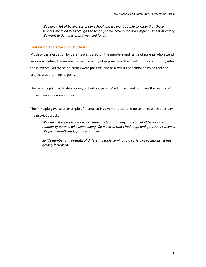*We have a lot of businesses in our school and we want people to know that these services are available through the school, so we have put out a simple business directory. We want to do it better but we need funds.*

## Evaluation and effects on students

Much of the evaluation by parents was based on the numbers and range of parents who attend various activities, the number of people who put in prizes and the "feel" of the community after these events. All these indicators were positive, and as a result the school believed that the project was attaining its goals.

The parents planned to do a survey to find out parents' attitudes, and compare the results with those from a previous survey.

The Principle gave as an example of increased involvement the turn-up to a K to 2 athletics day the previous week:

*We had just a simple in-house Olympics celebration day and I couldn't believe the number of parents who came along. So much so that I had to go and get sound systems. We just weren't ready for any numbers.*

*So it's number and breadth of different people coming to a variety of occasions. It has greatly increased.*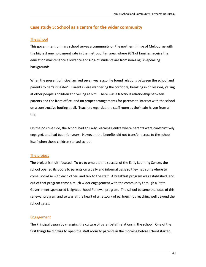## **Case study 5: School as a centre for the wider community**

## The school

This government primary school serves a community on the northern fringe of Melbourne with the highest unemployment rate in the metropolitan area, where 92% of families receive the education maintenance allowance and 62% of students are from non-English-speaking backgrounds.

When the present principal arrived seven years ago, he found relations between the school and parents to be "a disaster". Parents were wandering the corridors, breaking in on lessons, yelling at other people's children and yelling at him. There was a fractious relationship between parents and the front office, and no proper arrangements for parents to interact with the school on a constructive footing at all. Teachers regarded the staff room as their safe haven from all this.

On the positive side, the school had an Early Learning Centre where parents were constructively engaged, and had been for years. However, the benefits did not transfer across to the school itself when those children started school.

## The project

The project is multi-faceted. To try to emulate the success of the Early Learning Centre, the school opened its doors to parents on a daily and informal basis so they had somewhere to come, socialise with each other, and talk to the staff. A breakfast program was established, and out of that program came a much wider engagement with the community through a State Government-sponsored Neighbourhood Renewal program. The school became the locus of this renewal program and so was at the heart of a network of partnerships reaching well beyond the school gates.

## Engagement

The Principal began by changing the culture of parent-staff relations in the school. One of the first things he did was to open the staff room to parents in the morning before school started.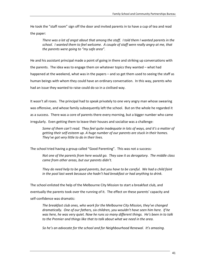He took the "staff room" sign off the door and invited parents in to have a cup of tea and read the paper:

*There was a lot of angst about that among the staff. I told them I wanted parents in the school. I wanted them to feel welcome. A couple of staff were really angry at me, that the parents were going to "my safe area".*

He and his assistant principal made a point of going in there and striking up conversations with the parents. The idea was to engage them on whatever topics they wanted – what had happened at the weekend, what was in the papers – and so get them used to seeing the staff as human beings with whom they could have an ordinary conversation. In this way, parents who had an issue they wanted to raise could do so in a civilised way.

It wasn't all roses. The principal had to speak privately to one very angry man whose swearing was offensive, and whose family subsequently left the school. But on the whole he regarded it as a success. There was a core of parents there every morning, but a bigger number who came irregularly. Even getting them to leave their houses and socialise was a challenge:

*Some of them can't read. They feel quite inadequate in lots of ways, and it's a matter of getting their self-esteem up. A huge number of our parents are stuck in their homes. They've got very little to do in their lives.* 

The school tried having a group called "Good Parenting". This was not a success:

*Not one of the parents from here would go. They saw it as derogatory. The middle class came from other areas, but our parents didn't.* 

*They do need help to be good parents, but you have to be careful. We had a child faint in the pool last week because she hadn't had breakfast or had anything to drink.*

The school enlisted the help of the Melbourne City Mission to start a breakfast club, and eventually the parents took over the running of it. The effect on these parents' capacity and self-confidence was dramatic:

*The breakfast club ones, who work for the Melbourne City Mission, they've changed dramatically. One of our fathers, six children, you wouldn't have seen him here. If he was here, he was very quiet. Now he runs so many different things. He's been in to talk to the Premier and things like that to talk about what we need in the area.*

*So he's an advocate for the school and for Neighbourhood Renewal. It's amazing.*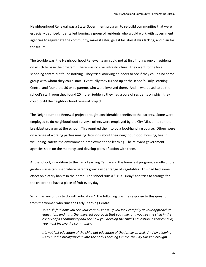Neighbourhood Renewal was a State Government program to re-build communities that were especially deprived. It entailed forming a group of residents who would work with government agencies to rejuvenate the community, make it safer, give it facilities it was lacking, and plan for the future.

The trouble was, the Neighbourhood Renewal team could not at first find a group of residents on which to base the program. There was no civic infrastructure. They went to the local shopping centre but found nothing. They tried knocking on doors to see if they could find some group with whom they could start. Eventually they turned up at the school's Early Learning Centre, and found the 30 or so parents who were involved there. And in what used to be the school's staff room they found 20 more. Suddenly they had a core of residents on which they could build the neighbourhood renewal project.

The Neighbourhood Renewal project brought considerable benefits to the parents. Some were employed to do neighbourhood surveys; others were employed by the City Mission to run the breakfast program at the school. This required them to do a food-handling course. Others were on a range of working parties making decisions about their neighbourhood: housing, health, well-being, safety, the environment, employment and learning. The relevant government agencies sit in on the meetings and develop plans of action with them.

At the school, in addition to the Early Learning Centre and the breakfast program, a multicultural garden was established where parents grow a wider range of vegetables. This had had some effect on dietary habits in the home. The school runs a "Fruit Friday" and tries to arrange for the children to have a piece of fruit every day.

What has any of this to do with education? The following was the response to this question from the woman who runs the Early Learning Centre:

*It is a shift in how you see your core business. If you look carefully at your approach to education, and if it's the universal approach that you take, and you see the child in the context of its community and see how you develop the child's education in that context, you must involve the community.*

It's not just education of the child but education of the family as well. And by allowing *us to put the breakfast club into the Early Learning Centre, the City Mission brought*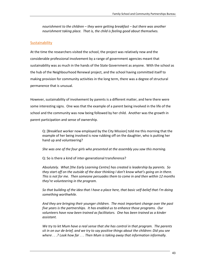*nourishment to the children – they were getting breakfast – but there was another nourishment taking place. That is, the child is feeling good about themselves.* 

## **Sustainability**

At the time the researchers visited the school, the project was relatively new and the considerable professional involvement by a range of government agencies meant that sustainability was as much in the hands of the State Government as anyone. With the school as the hub of the Neighbourhood Renewal project, and the school having committed itself to making provision for community activities in the long term, there was a degree of structural permanence that is unusual.

However, sustainability of involvement by parents is a different matter, and here there were some interesting signs. One was that the example of a parent being involved in the life of the school and the community was now being followed by her child. Another was the growth in parent participation and sense of ownership.

Q: [Breakfast worker now employed by the City Mission] told me this morning that the example of her being involved is now rubbing off on the daughter, who is putting her hand up and volunteering?

*She was one of the four girls who presented at the assembly you saw this morning.*

Q: So is there a kind of inter-generational transference?

*Absolutely. What [the Early Learning Centre] has created is leadership by parents. So they start off on the outside of the door thinking I don't know what's going on in there. This is not for me. Then someone persuades them to come in and then within 12 months they're volunteering in the program.*

*So that building of the idea that I have a place here, that basic self-belief that I'm doing something worthwhile.*

*And they are bringing their younger children. The most important change over the past five years is the partnerships. It has enabled us to enhance those programs. Our volunteers have now been trained as facilitators. One has been trained as a kinder assistant.* 

*We try to let Mum have a real sense that she has control in that program. The parents sit in on our de-brief, and we try to say positive things about the children: Did you see where . . .? Look how far . . . Then Mum is taking away that information informally.*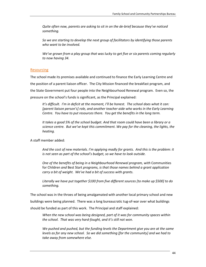*Quite often now, parents are asking to sit in on the de-brief because they've noticed something.*

*So we are starting to develop the next group of facilitators by identifying those parents who want to be involved.*

*We've grown from a play group that was lucky to get five or six parents coming regularly to now having 34.*

## Resourcing

The school made its premises available and continued to finance the Early Learning Centre and the position of a parent liaison officer. The City Mission financed the breakfast program, and the State Government put four people into the Neighbourhood Renewal program. Even so, the pressure on the school's funds is significant, as the Principal explained:

*It's difficult. I'm in deficit at the moment, I'll be honest. The school does what it can: [parent liaison person's] role, and another teacher aide who works in the Early Learning Centre. You have to put resources there. You get the benefits in the long term.*

*It takes a good 5% of the school budget. And that room could have been a library or a science centre. But we've kept this commitment. We pay for the cleaning, the lights, the heating.*

A staff member added:

*And the cost of new materials. I'm applying madly for grants. And this is the problem: it is not seen as part of the school's budget, so we have to look outside.*

*One of the benefits of being in a Neighbourhood Renewal program, with* Communities for Children *and* Best Start *programs, is that those names behind a grant application carry a bit of weight. We've had a bit of success with grants.*

*Literally we have put together \$100 from five different sources [to make up \$500] to do something.* 

The school was in the throes of being amalgamated with another local primary school and new buildings were being planned. There was a long bureaucratic tug-of-war over what buildings should be funded as part of this work. The Principal and staff explained:

*When the new school was being designed, part of it was for community spaces within the school. That was very hard-fought, and it's still not won.*

*We pushed and pushed, but the funding levels the Department give you are at the same levels as for any new school. So we did something [for the community] and we had to take away from somewhere else.*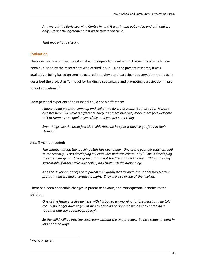*And we put the Early Learning Centre in, and it was in and out and in and out, and we only just got the agreement last week that it can be in.*

*That was a huge victory.*

## **Evaluation**

This case has been subject to external and independent evaluation, the results of which have been published by the researchers who carried it out. Like the present research, it was qualitative, being based on semi-structured interviews and participant observation methods. It described the project as "a model for tackling disadvantage and promoting participation in preschool education". <sup>4</sup>

From personal experience the Principal could see a difference:

*I haven't had a parent come up and yell at me for three years. But I used to. It was a disaster here. So make a difference early, get them involved, make them feel welcome, talk to them as an equal, respectfully, and you get something.*

*Even things like the breakfast club: kids must be happier if they've got food in their stomach.*

## A staff member added:

*The change among the teaching staff has been huge. One of the younger teachers said to me recently, "I am developing my own links with the community". She is developing the safety program. She's gone out and got the fire brigade involved. Things are only sustainable if others take ownership, and that's what's happening.*

And the development of those parents: 20 graduated through the Leadership Matters *program and we had a certificate night. They were so proud of themselves.*

There had been noticeable changes in parent behaviour, and consequential benefits to the

## children:

*One of the fathers cycles up here with his boy every morning for breakfast and he told me: "I no longer have to yell at him to get out the door. So we can have breakfast together and say goodbye properly".*

*So the child will go into the classroom without the anger issues. So he's ready to learn in lots of other ways.*

 $\overline{\phantom{a}}$ 

<sup>4</sup> Warr, D., *op. cit*.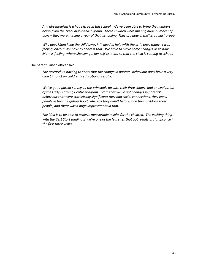*And absenteeism is a huge issue in this school. We've been able to bring the numbers down from the "very high-needs" group. These children were missing huge numbers of days – they were missing a year of their schooling. They are now in the" irregular" group.* 

*Why does Mum keep the child away? "I needed help with the little ones today. I was feeling lonely." We have to address that. We have to make some changes as to how Mum is feeling, where she can go, her self-esteem, so that the child is coming to school.*

The parent liaison officer said:

*The research is starting to show that the change in parents' behaviour does have a very direct impact on children's educational results.*

*We've got a parent survey all the principals do with their Prep cohort, and an evaluation of the Early Learning Centre program. From that we've got changes in parents' behaviour that were statistically significant: they had social connections, they knew people in their neighbourhood, whereas they didn't before, and their children knew people, and there was a huge improvement in that.*

*The idea is to be able to achieve measurable results for the children. The exciting thing with the Best Start funding is we're one of the few sites that got results of significance in the first three years.*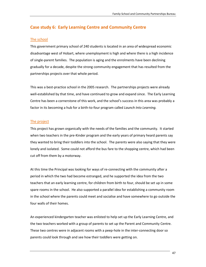## **Case study 6: Early Learning Centre and Community Centre**

## The school

This government primary school of 240 students is located in an area of widespread economic disadvantage west of Hobart, where unemployment is high and where there is a high incidence of single-parent families. The population is aging and the enrolments have been declining gradually for a decade, despite the strong community engagement that has resulted from the partnerships projects over that whole period.

This was a best-practice school in the 2005 research. The partnerships projects were already well-established by that time, and have continued to grow and expand since. The Early Learning Centre has been a cornerstone of this work, and the school's success in this area was probably a factor in its becoming a hub for a birth-to-four program called *Launch Into Learning.*

## The project

This project has grown organically with the needs of the families and the community. It started when two teachers in the pre-Kinder program and the early years of primary heard parents say they wanted to bring their toddlers into the school. The parents were also saying that they were lonely and isolated. Some could not afford the bus fare to the shopping centre, which had been cut off from them by a motorway.

At this time the Principal was looking for ways of re-connecting with the community after a period in which the two had become estranged, and he supported the idea from the two teachers that an early learning centre, for children from birth to four, should be set up in some spare rooms in the school. He also supported a parallel idea for establishing a community room in the school where the parents could meet and socialise and have somewhere to go outside the four walls of their homes.

An experienced kindergarten teacher was enlisted to help set up the Early Learning Centre, and the two teachers worked with a group of parents to set up the Parent and Community Centre. These two centres were in adjacent rooms with a peep-hole in the inter-connecting door so parents could look through and see how their toddlers were getting on.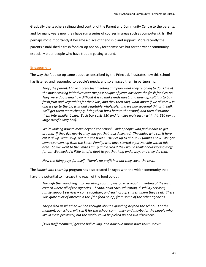Gradually the teachers relinquished control of the Parent and Community Centre to the parents, and for many years now they have run a series of courses in areas such as computer skills. But perhaps most importantly it became a place of friendship and support. More recently the parents established a fresh food co-op not only for themselves but for the wider community, especially older people who have trouble getting around.

## Engagement

The way the food co-op came about, as described by the Principal, illustrates how this school has listened and responded to people's needs, and so engaged them in partnership:

*They [the parents] have a breakfast meeting and plan what they're going to do. One of the most exciting initiatives over the past couple of years has been the fresh food co-op. They were discussing how difficult it is to make ends meet, and how difficult it is to buy fresh fruit and vegetables for their kids, and they then said, what about if we all threw in and we go to the big fruit and vegetable wholesaler and we buy seasonal things in bulk, we'll get them more cheaply, bring them back here to the school, and then distribute them into smaller boxes. Each box costs \$10 and families walk away with this \$10 box [a large overflowing box].*

*We're looking now to move beyond the school – older people who find it hard to get around. If they live nearby they can get their box delivered. The ladies who run it here cut it all up, wrap it up, put it in the boxes. They're up to about 25 families now. We got some sponsorship from the Smith Family, who have started a partnership within this area. So we went to the Smith Family and asked if they would think about kicking it off for us. We needed a little bit of a float to get the thing underway, and they did that.*

*Now the thing pays for itself. There's no profit in it but they cover the costs.*

The *Launch Into Learning* program has also created linkages with the wider community that

have the potential to increase the reach of the food co-op :

*Through the* Launching Into Learning *program, we go to a regular meeting of the local council where all of the agencies – health, child care, education, disability services, family support services – come together, and each group shares where they're at. There was quite a lot of interest in this [the food co-op] from some of the other agencies.* 

*They asked us whether we had thought about expanding beyond the school. For the moment, our school will run it for the school community and maybe for the people who live in close proximity, but the model could be picked up and run elsewhere.*

*[Two staff members] got the ball rolling, and now two mums have taken it over.*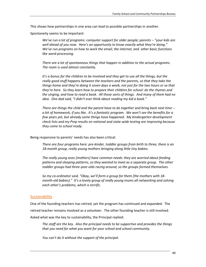This shows how partnerships in one area can lead to possible partnerships in another.

Spontaneity seems to be important:

*We've run a lot of programs: computer support for older people; parents – "your kids are well ahead of you now. Here's an opportunity to know exactly what they're doing." We've run programs on how to work the email, the internet, and other basic functions like word-processing.*

*There are a lot of spontaneous things that happen in addition to the actual programs. The room is used almost constantly.*

It's a bonus for the children to be involved and they get to use all the things, but the *really good stuff happens between the teachers and the parents, so that they take the things home and they're doing it seven days a week, not just for the two hours or so that they're here. So they learn how to prepare their children for school: do the rhymes and the singing, and how to read a book. All those sorts of things. And many of them had no idea. One dad said, "I didn't ever think about reading my kid a book."*

*There are things the child and the parent have to do together and bring back next time - a bit of homework, if you like. It's a fantastic program. We won't see the benefits for a few years yet, but already some things have happened. My kindergarten development check lists and my Prep results on national and state-wide testing are improving because they come to school ready.*

Being responsive to parents' needs has also been critical:

*There are four programs here: pre-kinder, toddler groups from birth to three, there is an 18-month group, really young mothers bringing along little tiny babies.* 

*The really young ones [mothers] have common needs: they are worried about feeding patterns and sleeping patterns, so they wanted to meet as a separate group. The other toddler groups had three-year-olds racing around, so the groups formed themselves.*

*So my co-ordinator said, "Okay, we'll form a group for them [the mothers with 18 month-old babies]." It's a lovely group of really young mums all networking and solving each other's problems, which is terrific.*

## **Sustainability**

One of the founding teachers has retired, yet the program has continued and expanded. The retired teacher remains involved as a volunteer. The other founding teacher is still involved. Asked what was the key to sustainability, the Principal replied:

*The staff are the key. Also the principal needs to be supportive and provides the things that you need for what you want for your school and school community.*

*You can't do it without the support of the principal.*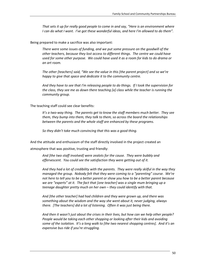*That sets it up for really good people to come in and say, "Here is an environment where I can do what I want. I've got these wonderful ideas, and here I'm allowed to do them".*

Being prepared to make a sacrifice was also important:

*There were some issues of funding, and we put some pressure on the goodwill of the other teachers, because they lost access to different things. The centre we could have used for some other purpose. We could have used it as a room for kids to do drama or an art room.*

*The other [teachers] said, "We see the value in this [the parent project] and so we're happy to give that space and dedicate it to the community centre.*

*And they have to see that I'm releasing people to do things. If I took the supervision for the class, they see me as down there teaching [a] class while the teacher is running the community group.* 

The teaching staff could see clear benefits:

*It's a two-way thing. The parents get to know the staff members much better. They see them, they bump into them, they talk to them, so across the board the relationships between the parents and the whole staff are enhanced by these programs.*

*So they didn't take much convincing that this was a good thing.*

And the attitude and enthusiasm of the staff directly involved in the project created an

atmosphere that was positive, trusting and friendly:

*And [the two staff involved] were zealots for the cause. They were bubbly and effervescent. You could see the satisfaction they were getting out of it.*

*And they had a lot of credibility with the parents. They were really skilful in the way they managed the group. Nobody felt that they were coming to a "parenting" course. We're not here to tell you to be a better parent or show you how to be a better parent because we are "experts" at it. The fact that [one teacher] was a single mum bringing up a teenage daughter pretty much on her own – they could identify with that.*

*And [the other teacher] had had children and they were grown up, and there was something about the wisdom and the way she went about it, never judging, always there. [The teachers] did a lot of listening. Often it was just being there.* 

*And then it wasn't just about the crises in their lives, but how can we help other people? People would be taking each other shopping or looking after their kids and avoiding some of the isolation. It's a long walk to [the two nearest shopping centres]. And it's an expensive bus ride if you're struggling.*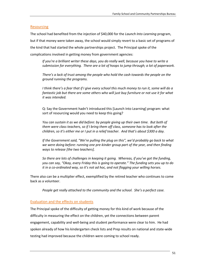## Resourcing

The school had benefited from the injection of \$40,000 for the *Launch Into Learning* program, but if that money were taken away, the school would simply revert to a basic set of programs of the kind that had started the whole partnerships project. The Principal spoke of the complications involved in getting money from government agencies:

*If you're a brilliant writer these days, you do really well, because you have to write a submission for everything. There are a lot of hoops to jump through; a lot of paperwork.*

*There's a lack of trust among the people who hold the cash towards the people on the ground running the programs.*

*I think there's a fear that if I give every school this much money to run it, some will do a*  fantastic job but there are some others who will just buy furniture or not use it for what *it was intended.*

Q: Say the Government hadn't introduced this [Launch Into Learning] program: what sort of resourcing would you need to keep this going?

*You can sustain it as we did before: by people giving up their own time. But both of them were class teachers, so if I bring them off class, someone has to look after the children, so it's either me or I put in a relief teacher. And that's about \$300 a day.*

*If the Government said, "We're pulling the plug on this", we'd probably go back to what we were doing before: running one pre-kinder group part of the year, and then finding ways to release [the two teachers].* 

*So there are lots of challenges in keeping it going. Whereas, if you've got the funding, you can say, "Okay, every Friday this is going to operate." The funding sets you up to do it in a co-ordinated way, so it's not ad hoc, and not flogging your willing horses.*

There also can be a multiplier effect, exemplified by the retired teacher who continues to come back as a volunteer.

*People get really attached to the community and the school. She's a perfect case.*

## Evaluation and the effects on students

The Principal spoke of the difficulty of getting money for this kind of work because of the difficulty in measuring the effect on the children, yet the connections between parent engagement, capability and well-being and student performance were clear to him. He had spoken already of how his kindergarten check lists and Prep results on national and state-wide testing had improved because the children were coming to school ready.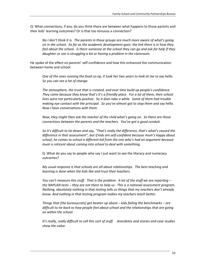Q: What connections, if any, do you think there are between what happens to those parents and their kids' learning outcomes? Or is that too tenuous a connection?

*No I don't think it is. The parents in those groups are much more aware of what's going on in the school. As far as the academic development goes: the link there is in how they feel about the school. Is there someone at the school they can go and ask for help if they daughter or son is struggling a bit or having a problem in the classroom.*

He spoke of the effect on parents' self-confidence and how this enhanced the communication between home and school:

*One of the ones running the food co-op, it took her two years to look at me to say hello. So you can see a lot of change.*

*The atmosphere, the trust that is created, and over time build up people's confidence. They come because they know that's it's a friendly place. For a lot of them, their school lives were not particularly positive. So it does take a while. Some of them had trouble making eye contact with the principal. So you've almost got to stop them and say hello. Now I have conversations with them.*

*Now, they might then ask the teacher of the child what's going on. So there are those connections between the parents and the teachers. You've got a good conduit.*

*So it's difficult to tie down and say, "That's really the difference, that's what's caused the difference in that assessment", but if kids are self-confident because mum's happy about school, he comes to school a different kid from the one who's had an argument because mum is reticent about coming into school to deal with something.*

Q: What do you say to people who say I just want to see the literacy and numeracy outcomes?

*My usual response is that schools are all about relationships. The best teaching and learning is done when the kids like and trust their teachers.* 

*You can't measure this stuff. That is the problem. A lot of the stuff we are reporting – the NAPLAN tests – they are not there to help us. This is a national assessment program. Nothing, absolutely nothing in that testing tells us things that my teachers don't already know. And nothing in that testing program makes my teachers teach better.*

*Things that [the bureaucrats] get beaten up about – kids failing the benchmarks – are difficult to tie back to how people feel about school and the relationships that are going on within the school.*

*It's really, really difficult to sell this sort of stuff. Anecdotes and stories and case studies show the value.*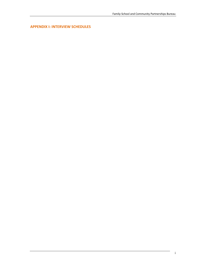**APPENDIX I: INTERVIEW SCHEDULES**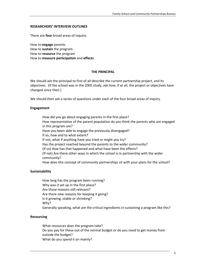## **RESEARCHERS' INTERVIEW OUTLINES**

There are **four** broad areas of inquiry:

How to **engage** parents How to **sustain** the program How to **resource** the program How to **measure participation** and **effects**

## **THE PRINCIPAL**

We should ask the principal to first of all describe the current partnership project, and its objectives. (If the school was in the 2005 study, ask how, if at all, the project or objectives have changed since then.)

We should then ask a series of questions under each of the four broad areas of inquiry.

## **Engagement**

How did you go about engaging parents in the first place? How representative of the parent population do you think the parents who are engaged in this program are? Have you been able to engage the previously disengaged? If so, how and to what extent? If not, what if anything have you tried or might you try? Has the project reached beyond the parents to the wider community? (If so) How has that happened and what have been the effects? (If not) Are there other ways in which the school is in partnership with the wider community? How does this concept of community partnerships sit with your plans for the school?

## **Sustainability**

How long has the program been running? Why was it set up in the first place? Are those reasons still relevant? Are there new reasons for keeping it going? Is it growing, stable or shrinking? Why? Generally speaking, what are the critical ingredients in sustaining a program like this?

#### **Resourcing**

What resources does the program take? Do you pay for these out of the normal budget or do you need to get money from outside the budget? What do you spend it on mainly?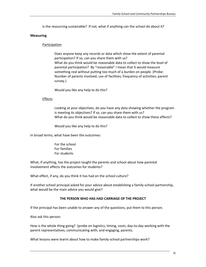Is the resourcing sustainable? If not, what if anything can the school do about it?

#### **Measuring**

## Participation

Does anyone keep any records or data which show the extent of parental participation? If so, can you share them with us? What do you think would be reasonable data to collect to show the level of parental participation? By "reasonable" I mean that it would measure something real without putting too much of a burden on people. (Probe: Number of parents involved; use of facilities; frequency of activities; parent survey.)

Would you like any help to do this?

## Effects

Looking at your objectives, do you have any data showing whether the program is meeting its objectives? If so, can you share them with us? What do you think would be reasonable data to collect to show these effects?

Would you like any help to do this?

In broad terms, what have been the outcomes:

For the school For families For students

What, if anything, has the project taught the parents and school about how parental involvement affects the outcomes for students?

What effect, if any, do you think it has had on the school culture?

If another school principal asked for your advice about establishing a family-school partnership, what would be the main advice you would give?

## **THE PERSON WHO HAS HAD CARRIAGE OF THE PROJECT**

If the principal has been unable to answer any of the questions, put them to this person.

Also ask this person:

How is the whole thing going? (probe on logistics, timing, costs, day-to-day working with the parent representatives, communicating with, and engaging, parents.

What lessons were learnt about how to make family-school partnerships work?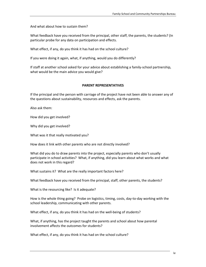And what about how to sustain them?

What feedback have you received from the principal, other staff, the parents, the students? (In particular probe for any data on participation and effects.

What effect, if any, do you think it has had on the school culture?

If you were doing it again, what, if anything, would you do differently?

If staff at another school asked for your advice about establishing a family-school partnership, what would be the main advice you would give?

## **PARENT REPRESENTATIVES**

If the principal and the person with carriage of the project have not been able to answer any of the questions about sustainability, resources and effects, ask the parents.

Also ask them:

How did you get involved?

Why did you get involved?

What was it that really motivated you?

How does it link with other parents who are not directly involved?

What did you do to draw parents into the project, especially parents who don't usually participate in school activities? What, if anything, did you learn about what works and what does not work in this regard?

What sustains it? What are the really important factors here?

What feedback have you received from the principal, staff, other parents, the students?

What is the resourcing like? Is it adequate?

How is the whole thing going? Probe on logistics, timing, costs, day-to-day working with the school leadership, communicating with other parents.

What effect, if any, do you think it has had on the well-being of students?

What, if anything, has the project taught the parents and school about how parental involvement affects the outcomes for students?

What effect, if any, do you think it has had on the school culture?